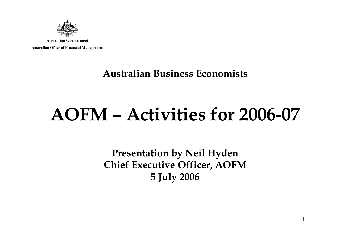

#### **Australian Business Economists**

# **AOFM – Activities for 2006-07**

**Presentation by Neil Hyden Chief Executive Officer, AOFM 5 July 2006**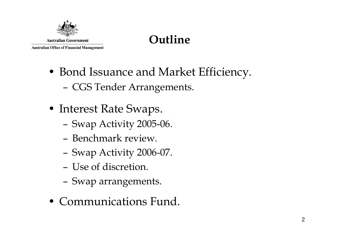

## **Outline**

- Bond Issuance and Market Efficiency.
	- –CGS Tender Arrangements.
- Interest Rate Swaps.
	- –Swap Activity 2005-06.
	- Benchmark review.
	- –Swap Activity 2006-07.
	- Use of discretion.
	- –Swap arrangements.
- Communications Fund.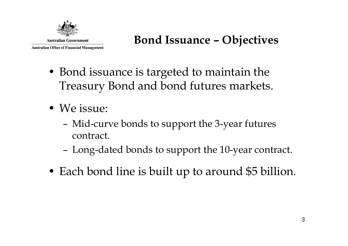

#### **Bond Issuance – Objectives**

- Bond issuance is targeted to maintain the Treasury Bond and bond futures markets.
- We issue:
	- – Mid-curve bonds to support the 3-year futures contract.
	- –Long-dated bonds to support the 10-year contract.
- Each bond line is built up to around \$5 billion.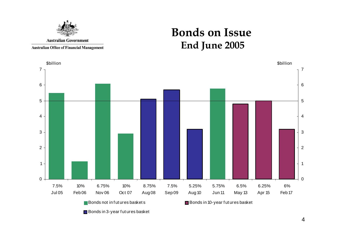

**Bonds on Issue End June 2005**

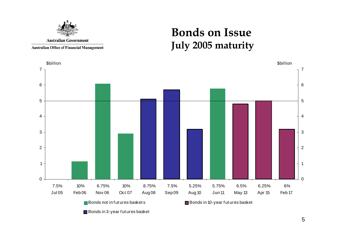

**Bonds on Issue July 2005 maturity**



Bonds in 3-year futures basket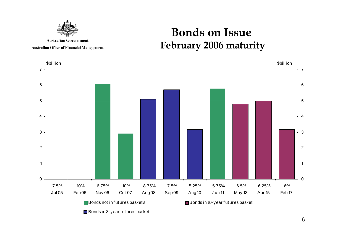

#### **Bonds on Issue February 2006 maturity**

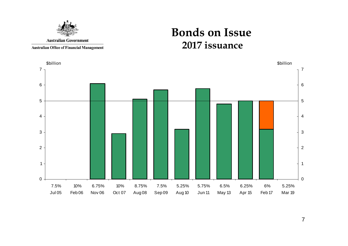

**Bonds on Issue 2017 issuance**

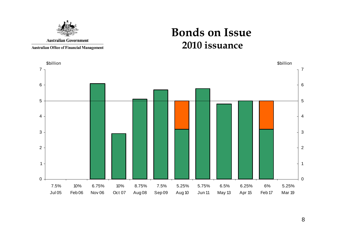

**Bonds on Issue 2010 issuance**



8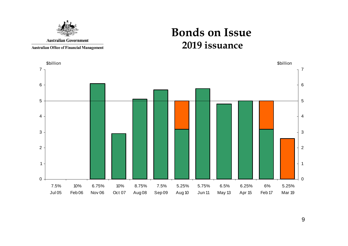

**Bonds on Issue 2019 issuance**



9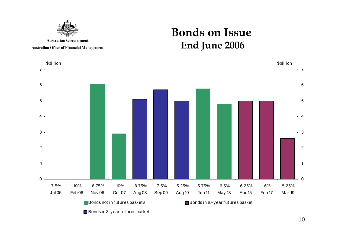

**Bonds on Issue End June 2006**



10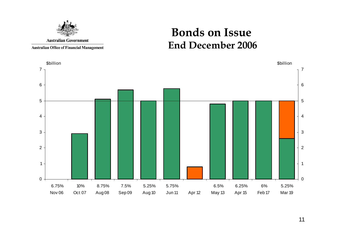

#### **Bonds on Issue End December 2006**

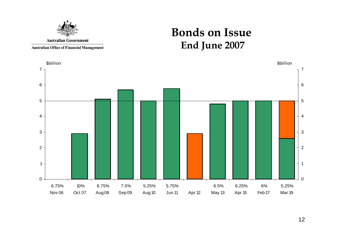

**Bonds on Issue End June 2007**

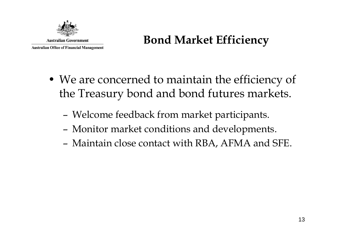

## **Bond Market Efficiency**

- We are concerned to maintain the efficiency of the Treasury bond and bond futures markets.
	- –Welcome feedback from market participants.
	- –Monitor market conditions and developments.
	- –Maintain close contact with RBA, AFMA and SFE.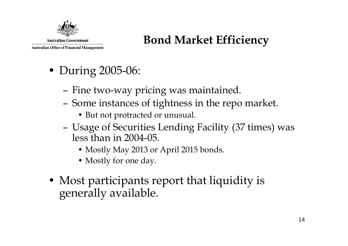

### **Bond Market Efficiency**

- During 2005-06:
	- –Fine two-way pricing was maintained.
	- – Some instances of tightness in the repo market.
		- But not protracted or unusual.
	- – Usage of Securities Lending Facility (37 times) was less than in 2004-05.
		- Mostly May 2013 or April 2015 bonds.
		- Mostly for one day.
- Most participants report that liquidity is generally available.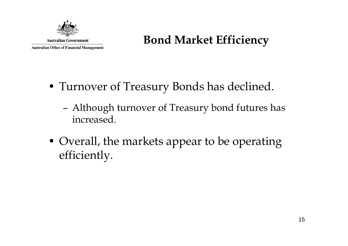

#### **Bond Market Efficiency**

- Turnover of Treasury Bonds has declined.
	- – Although turnover of Treasury bond futures has increased.
- Overall, the markets appear to be operating efficiently.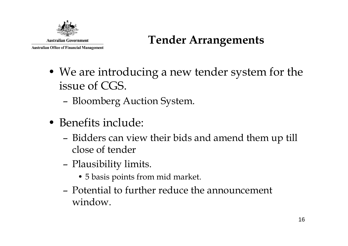

## **Tender Arrangements**

- We are introducing a new tender system for the issue of CGS.
	- –Bloomberg Auction System.
- Benefits include:
	- – Bidders can view their bids and amend them up till close of tender
	- – Plausibility limits.
		- 5 basis points from mid market.
	- Potential to further reduce the announcement window.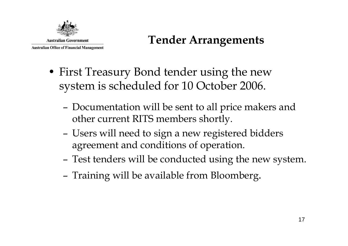

## **Tender Arrangements**

- First Treasury Bond tender using the new system is scheduled for 10 October 2006.
	- – Documentation will be sent to all price makers and other current RITS members shortly.
	- – Users will need to sign a new registered bidders agreement and conditions of operation.
	- –Test tenders will be conducted using the new system.
	- –Training will be available from Bloomberg.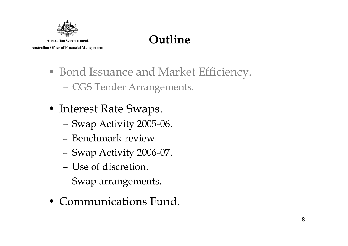

## **Outline**

- Bond Issuance and Market Efficiency. CGS Tender Arrangements.
- Interest Rate Swaps.
	- –Swap Activity 2005-06.
	- Benchmark review.
	- –Swap Activity 2006-07.
	- Use of discretion.
	- –Swap arrangements.
- Communications Fund.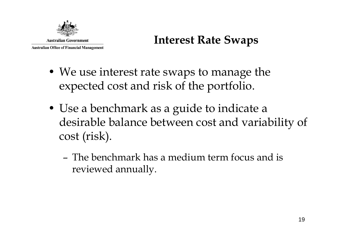

#### **Interest Rate Swaps**

- We use interest rate swaps to manage the expected cost and risk of the portfolio.
- Use a benchmark as a guide to indicate a desirable balance between cost and variability of cost (risk).
	- The benchmark has a medium term focus and is reviewed annually.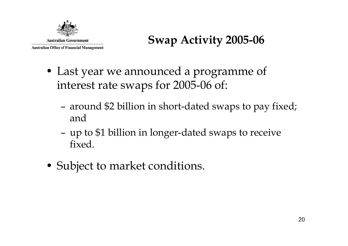

- Last year we announced a programme of interest rate swaps for 2005-06 of:
	- – around \$2 billion in short-dated swaps to pay fixed; and
	- – up to \$1 billion in longer-dated swaps to receive fixed.
- Subject to market conditions.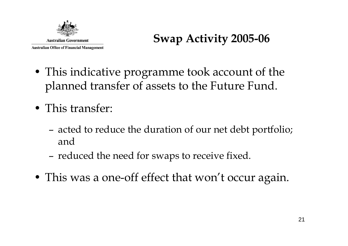

- This indicative programme took account of the planned transfer of assets to the Future Fund.
- This transfer:
	- – acted to reduce the duration of our net debt portfolio; and
	- –reduced the need for swaps to receive fixed.
- This was a one-off effect that won't occur again.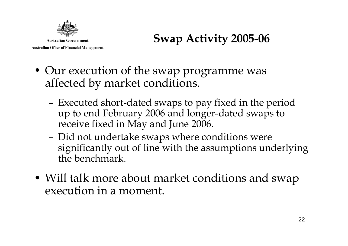

- Our execution of the swap programme was affected by market conditions.
	- – Executed short-dated swaps to pay fixed in the period up to end February 2006 and longer-dated swaps to receive fixed in May and June 2006.
	- – Did not undertake swaps where conditions were significantly out of line with the assumptions underlying the benchmark.
- Will talk more about market conditions and swap execution in a moment.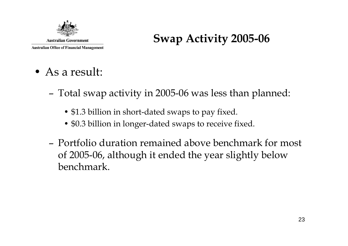

- As a result:
	- – Total swap activity in 2005-06 was less than planned:
		- \$1.3 billion in short-dated swaps to pay fixed.
		- \$0.3 billion in longer-dated swaps to receive fixed.
	- Portfolio duration remained above benchmark for most of 2005-06, although it ended the year slightly below benchmark.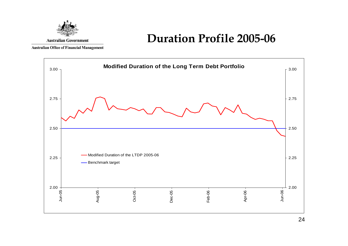

#### **Duration Profile 2005-06**

**Australian Office of Financial Management** 

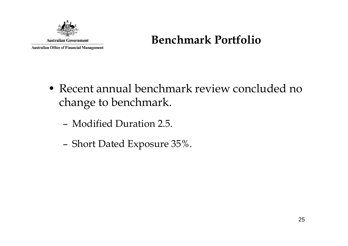

#### **Benchmark Portfolio**

- Recent annual benchmark review concluded no change to benchmark.
	- Modified Duration 2.5.
	- –Short Dated Exposure 35%.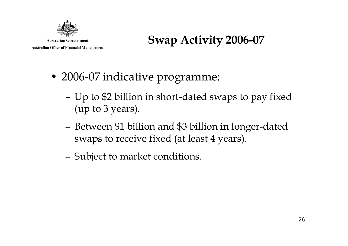

- 2006-07 indicative programme:
	- – Up to \$2 billion in short-dated swaps to pay fixed (up to 3 years).
	- – Between \$1 billion and \$3 billion in longer-dated swaps to receive fixed (at least 4 years).
	- –Subject to market conditions.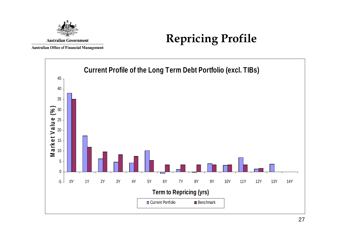

## **Repricing Profile**

**Australian Office of Financial Management** 

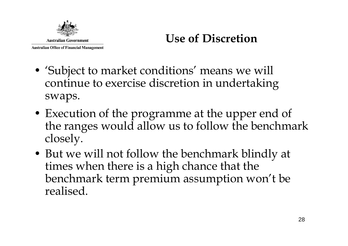

- 'Subject to market conditions' means we will continue to exercise discretion in undertaking swaps.
- Execution of the programme at the upper end of the ranges would allow us to follow the benchmark closely.
- But we will not follow the benchmark blindly at times when there is a high chance that the benchmark term premium assumption won't be realised.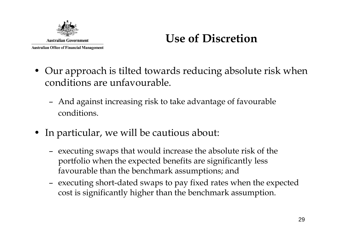

- Our approach is tilted towards reducing absolute risk when conditions are unfavourable.
	- And against increasing risk to take advantage of favourable conditions.
- In particular, we will be cautious about:
	- executing swaps that would increase the absolute risk of the portfolio when the expected benefits are significantly less favourable than the benchmark assumptions; and
	- executing short-dated swaps to pay fixed rates when the expected cost is significantly higher than the benchmark assumption.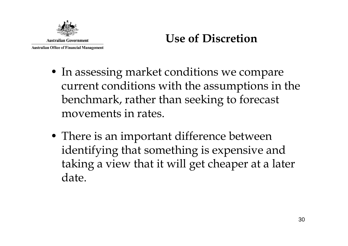

- In assessing market conditions we compare current conditions with the assumptions in the benchmark, rather than seeking to forecast movements in rates.
- There is an important difference between identifying that something is expensive and taking a view that it will get cheaper at a later date.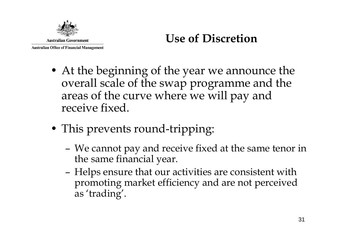

- At the beginning of the year we announce the overall scale of the swap programme and the areas of the curve where we will pay and receive fixed.
- This prevents round-tripping:
	- – We cannot pay and receive fixed at the same tenor in the same financial year.
	- – Helps ensure that our activities are consistent with promoting market efficiency and are not perceived as 'trading'.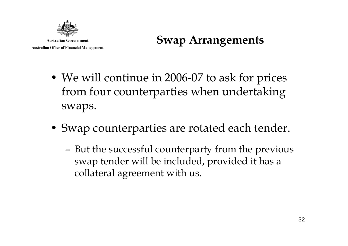

#### **Swap Arrangements**

- We will continue in 2006-07 to ask for prices from four counterparties when undertaking swaps.
- Swap counterparties are rotated each tender.
	- – But the successful counterparty from the previous swap tender will be included, provided it has a collateral agreement with us.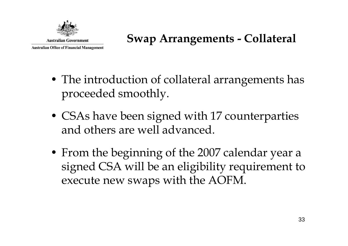

## **Swap Arrangements - Collateral**

- The introduction of collateral arrangements has proceeded smoothly.
- CSAs have been signed with 17 counterparties and others are well advanced.
- From the beginning of the 2007 calendar year a signed CSA will be an eligibility requirement to execute new swaps with the AOFM.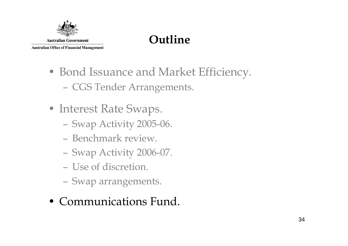

## **Outline**

- Bond Issuance and Market Efficiency. CGS Tender Arrangements.
- Interest Rate Swaps.
	- Swap Activity 2005-06.
	- Benchmark review.
	- Swap Activity 2006-07.
	- Use of discretion.
	- Swap arrangements.
- Communications Fund.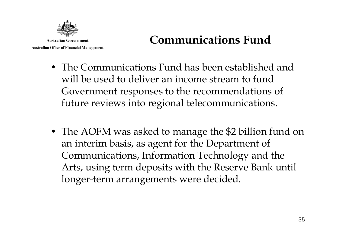

## **Communications Fund**

- The Communications Fund has been established and will be used to deliver an income stream to fund Government responses to the recommendations of future reviews into regional telecommunications.
- The AOFM was asked to manage the \$2 billion fund on an interim basis, as agent for the Department of Communications, Information Technology and the Arts, using term deposits with the Reserve Bank until longer-term arrangements were decided.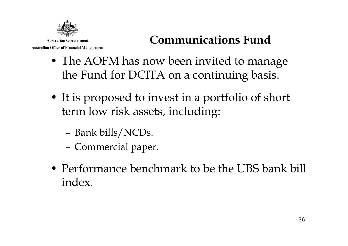

## **Communications Fund**

- The AOFM has now been invited to manage the Fund for DCITA on a continuing basis.
- It is proposed to invest in a portfolio of short term low risk assets, including:
	- –Bank bills/NCDs.
	- –Commercial paper.
- Performance benchmark to be the UBS bank bill index.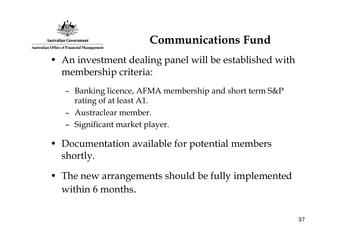

## **Communications Fund**

- An investment dealing panel will be established with membership criteria:
	- Banking licence, AFMA membership and short term S&P rating of at least A1.
	- Austraclear member.
	- Significant market player.
- Documentation available for potential members shortly.
- The new arrangements should be fully implemented within 6 months.